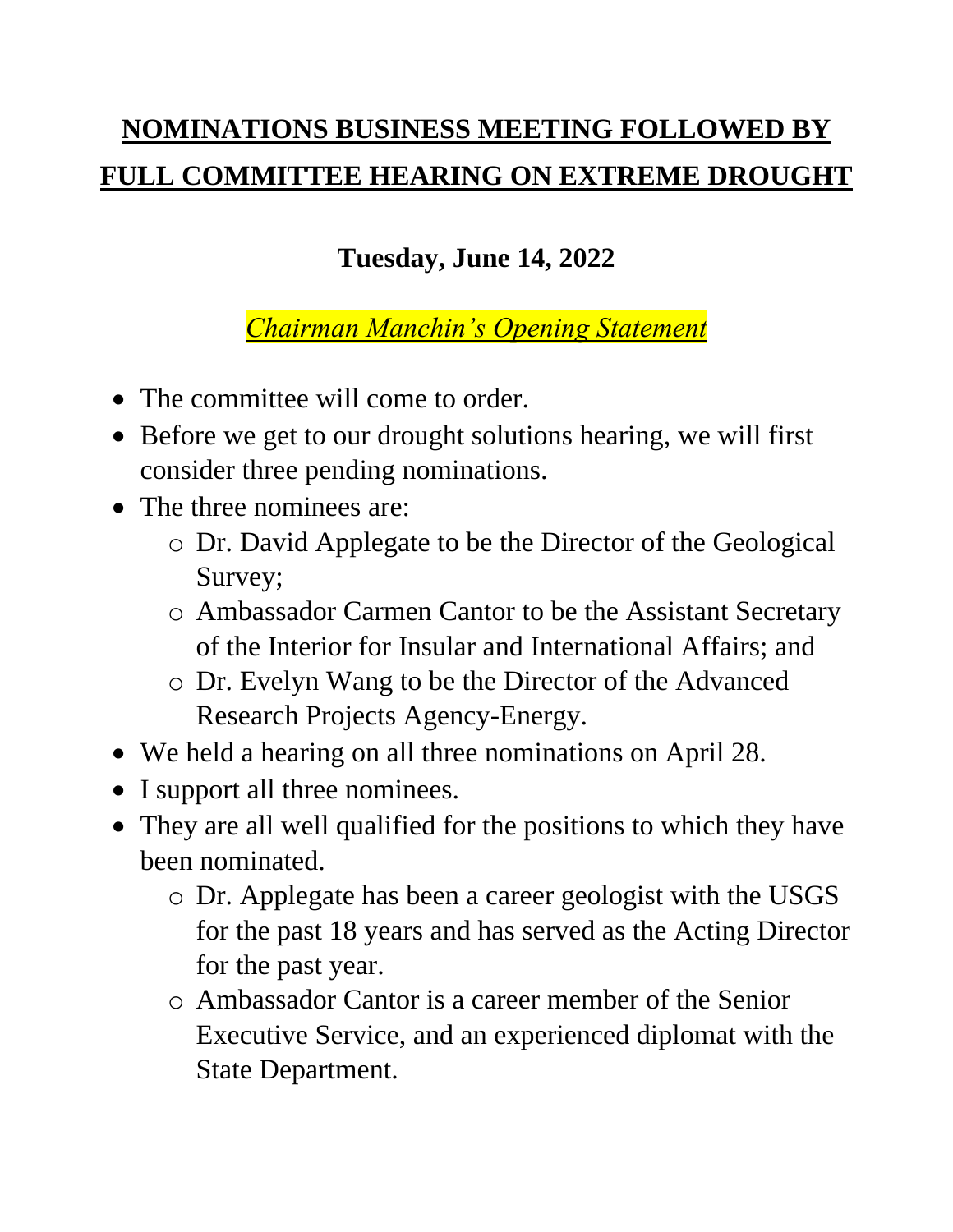## **NOMINATIONS BUSINESS MEETING FOLLOWED BY FULL COMMITTEE HEARING ON EXTREME DROUGHT**

## **Tuesday, June 14, 2022**

*Chairman Manchin's Opening Statement*

- The committee will come to order.
- Before we get to our drought solutions hearing, we will first consider three pending nominations.
- The three nominees are:
	- o Dr. David Applegate to be the Director of the Geological Survey;
	- o Ambassador Carmen Cantor to be the Assistant Secretary of the Interior for Insular and International Affairs; and
	- o Dr. Evelyn Wang to be the Director of the Advanced Research Projects Agency-Energy.
- We held a hearing on all three nominations on April 28.
- I support all three nominees.
- They are all well qualified for the positions to which they have been nominated.
	- o Dr. Applegate has been a career geologist with the USGS for the past 18 years and has served as the Acting Director for the past year.
	- o Ambassador Cantor is a career member of the Senior Executive Service, and an experienced diplomat with the State Department.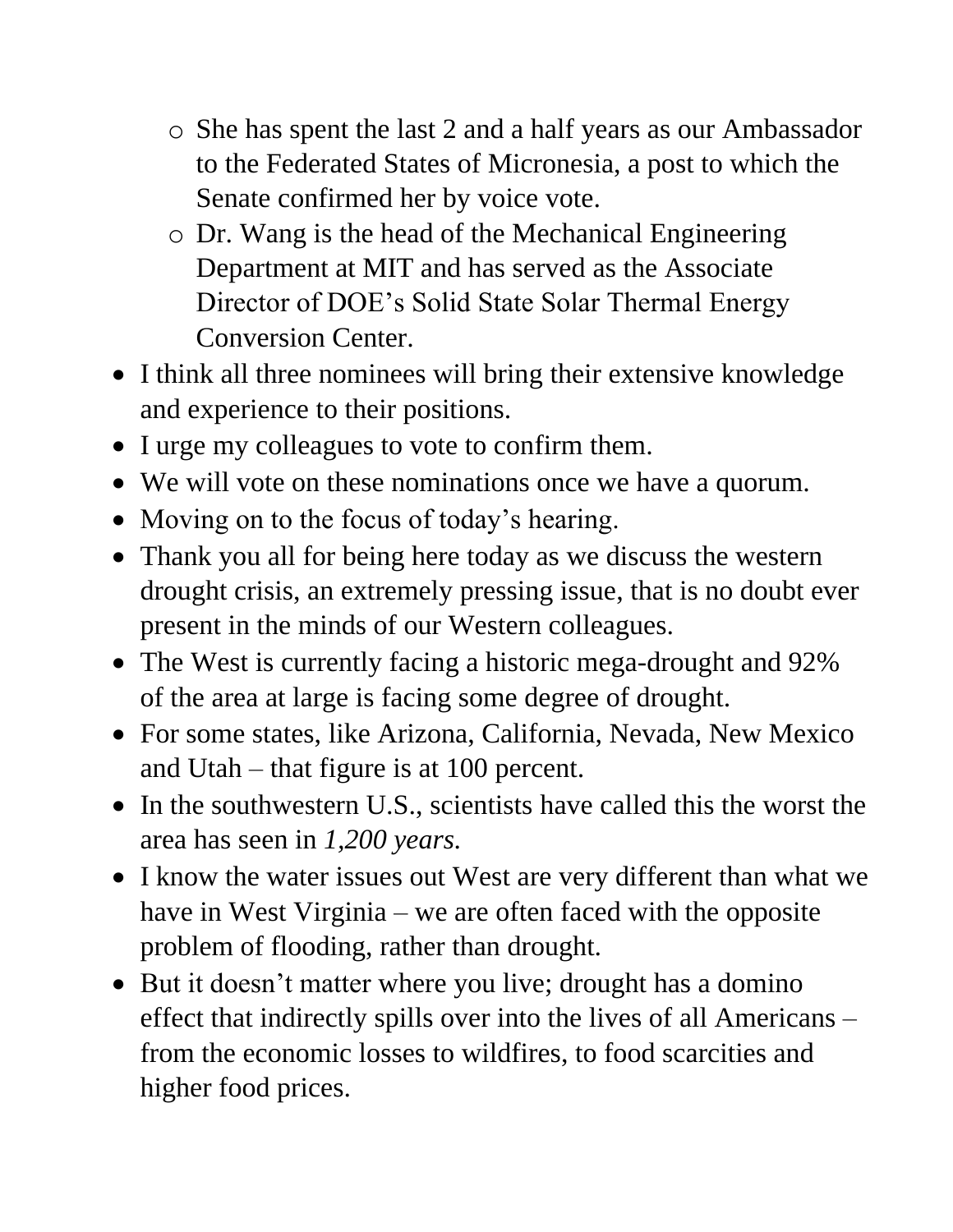- o She has spent the last 2 and a half years as our Ambassador to the Federated States of Micronesia, a post to which the Senate confirmed her by voice vote.
- o Dr. Wang is the head of the Mechanical Engineering Department at MIT and has served as the Associate Director of DOE's Solid State Solar Thermal Energy Conversion Center.
- I think all three nominees will bring their extensive knowledge and experience to their positions.
- I urge my colleagues to vote to confirm them.
- We will vote on these nominations once we have a quorum.
- Moving on to the focus of today's hearing.
- Thank you all for being here today as we discuss the western drought crisis, an extremely pressing issue, that is no doubt ever present in the minds of our Western colleagues.
- The West is currently facing a historic mega-drought and 92% of the area at large is facing some degree of drought.
- For some states, like Arizona, California, Nevada, New Mexico and Utah – that figure is at 100 percent.
- In the southwestern U.S., scientists have called this the worst the area has seen in *1,200 years.*
- I know the water issues out West are very different than what we have in West Virginia – we are often faced with the opposite problem of flooding, rather than drought.
- But it doesn't matter where you live; drought has a domino effect that indirectly spills over into the lives of all Americans – from the economic losses to wildfires, to food scarcities and higher food prices.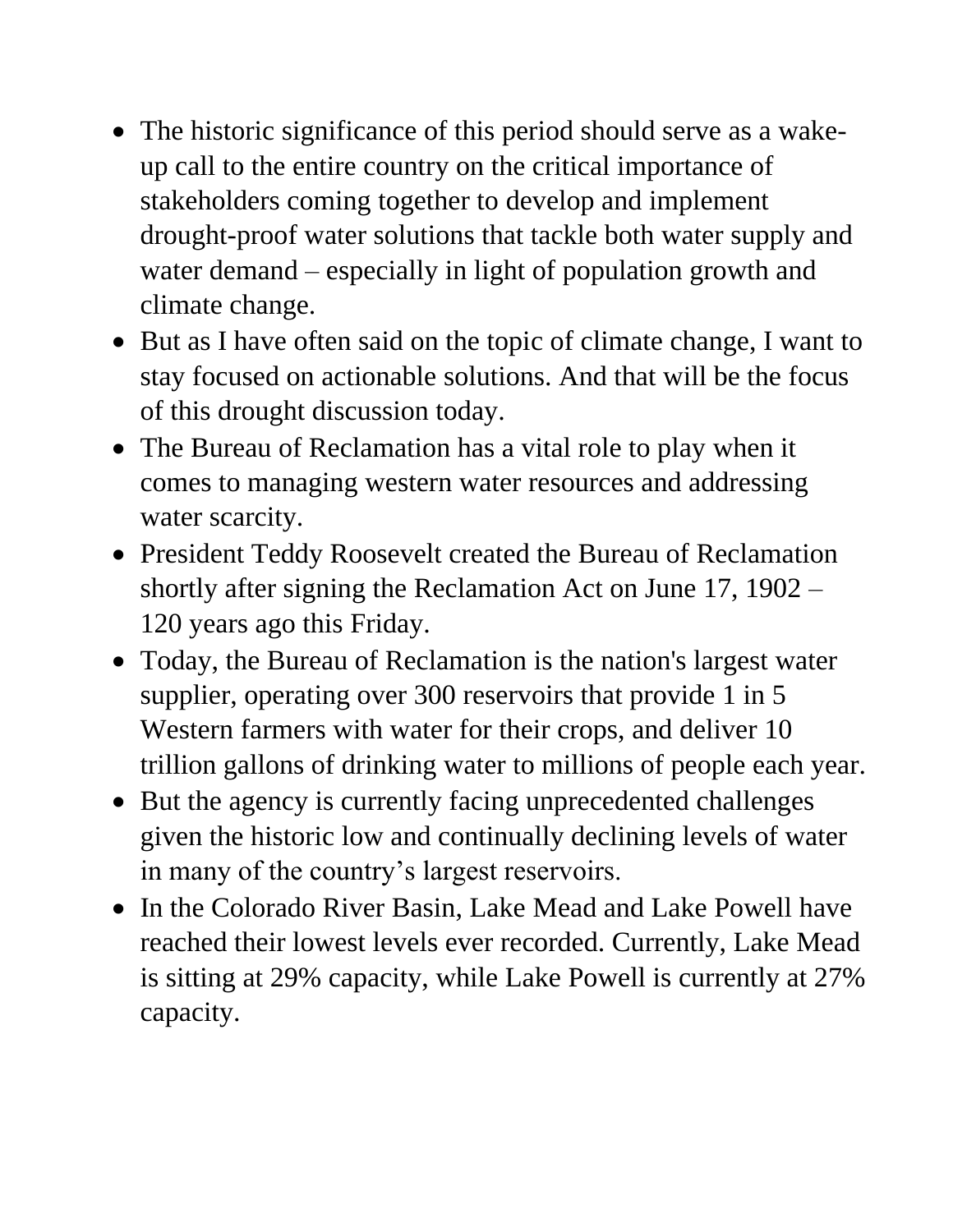- The historic significance of this period should serve as a wakeup call to the entire country on the critical importance of stakeholders coming together to develop and implement drought-proof water solutions that tackle both water supply and water demand – especially in light of population growth and climate change.
- But as I have often said on the topic of climate change, I want to stay focused on actionable solutions. And that will be the focus of this drought discussion today.
- The Bureau of Reclamation has a vital role to play when it comes to managing western water resources and addressing water scarcity.
- President Teddy Roosevelt created the Bureau of Reclamation shortly after signing the Reclamation Act on June 17, 1902 – 120 years ago this Friday.
- Today, the Bureau of Reclamation is the nation's largest water supplier, operating over 300 reservoirs that provide 1 in 5 Western farmers with water for their crops, and deliver 10 trillion gallons of drinking water to millions of people each year.
- But the agency is currently facing unprecedented challenges given the historic low and continually declining levels of water in many of the country's largest reservoirs.
- In the Colorado River Basin, Lake Mead and Lake Powell have reached their lowest levels ever recorded. Currently, Lake Mead is sitting at 29% capacity, while Lake Powell is currently at 27% capacity.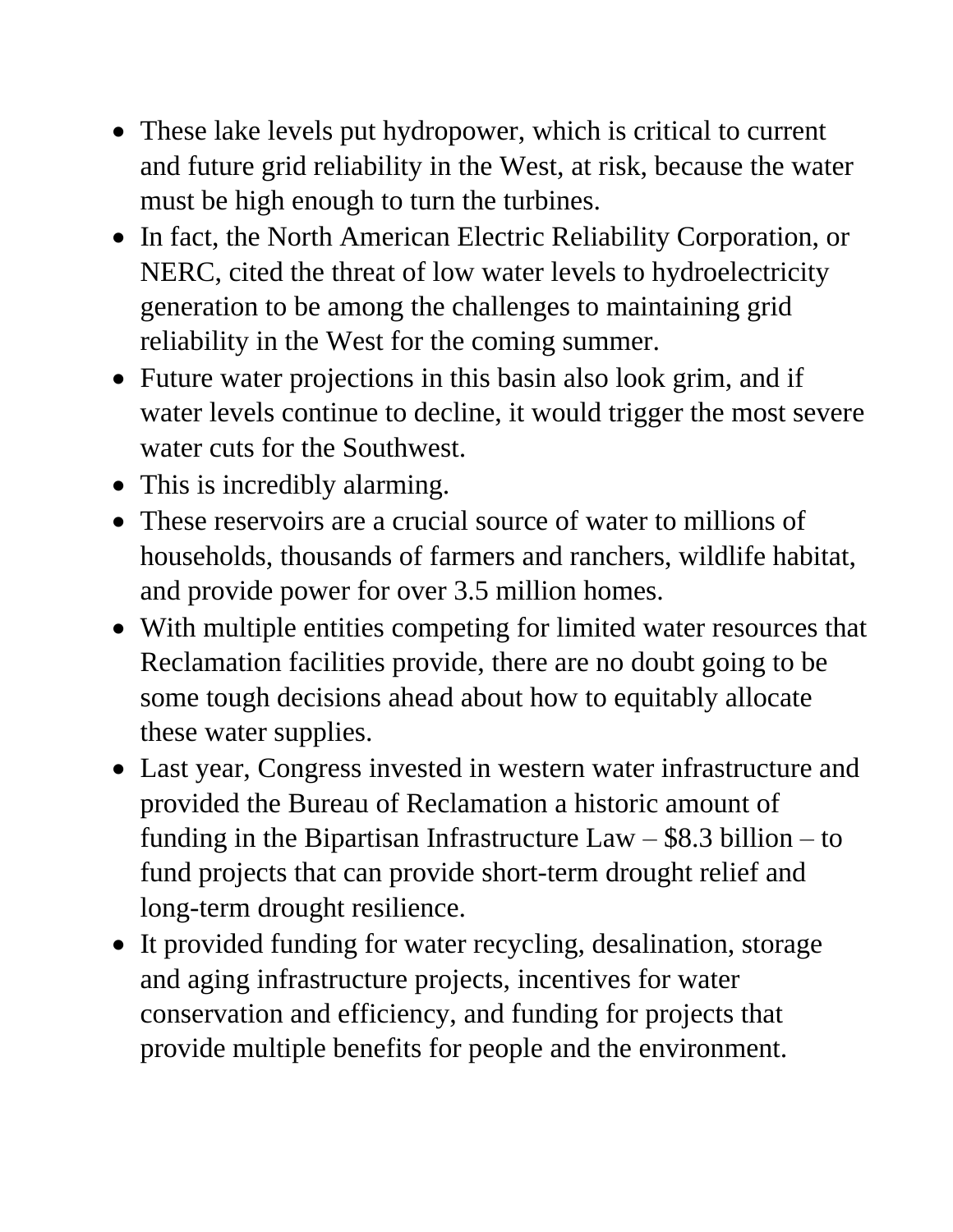- These lake levels put hydropower, which is critical to current and future grid reliability in the West, at risk, because the water must be high enough to turn the turbines.
- In fact, the North American Electric Reliability Corporation, or NERC, cited the threat of low water levels to hydroelectricity generation to be among the challenges to maintaining grid reliability in the West for the coming summer.
- Future water projections in this basin also look grim, and if water levels continue to decline, it would trigger the most severe water cuts for the Southwest.
- This is incredibly alarming.
- These reservoirs are a crucial source of water to millions of households, thousands of farmers and ranchers, wildlife habitat, and provide power for over 3.5 million homes.
- With multiple entities competing for limited water resources that Reclamation facilities provide, there are no doubt going to be some tough decisions ahead about how to equitably allocate these water supplies.
- Last year, Congress invested in western water infrastructure and provided the Bureau of Reclamation a historic amount of funding in the Bipartisan Infrastructure  $Law - $8.3$  billion  $-$  to fund projects that can provide short-term drought relief and long-term drought resilience.
- It provided funding for water recycling, desalination, storage and aging infrastructure projects, incentives for water conservation and efficiency, and funding for projects that provide multiple benefits for people and the environment.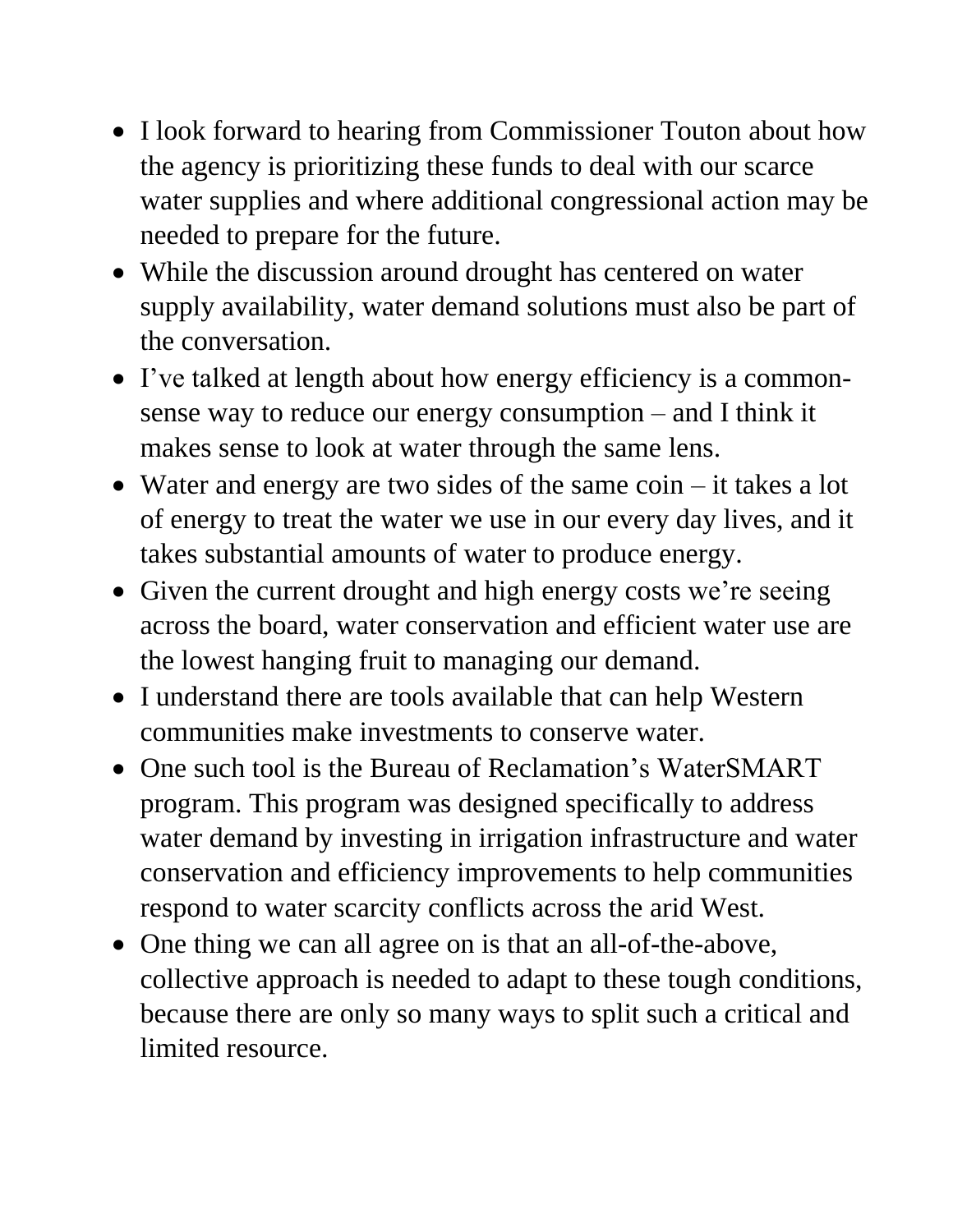- I look forward to hearing from Commissioner Touton about how the agency is prioritizing these funds to deal with our scarce water supplies and where additional congressional action may be needed to prepare for the future.
- While the discussion around drought has centered on water supply availability, water demand solutions must also be part of the conversation.
- I've talked at length about how energy efficiency is a commonsense way to reduce our energy consumption – and I think it makes sense to look at water through the same lens.
- Water and energy are two sides of the same coin it takes a lot of energy to treat the water we use in our every day lives, and it takes substantial amounts of water to produce energy.
- Given the current drought and high energy costs we're seeing across the board, water conservation and efficient water use are the lowest hanging fruit to managing our demand.
- I understand there are tools available that can help Western communities make investments to conserve water.
- One such tool is the Bureau of Reclamation's WaterSMART program. This program was designed specifically to address water demand by investing in irrigation infrastructure and water conservation and efficiency improvements to help communities respond to water scarcity conflicts across the arid West.
- One thing we can all agree on is that an all-of-the-above, collective approach is needed to adapt to these tough conditions, because there are only so many ways to split such a critical and limited resource.